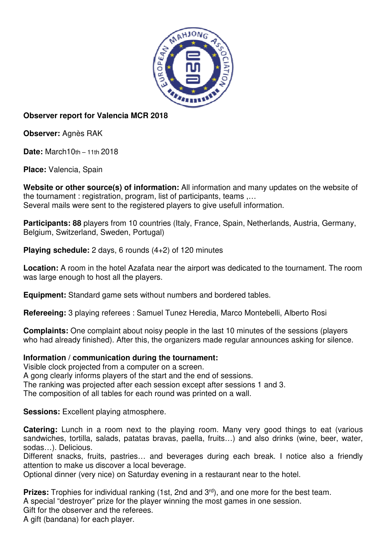

## **Observer report for Valencia MCR 2018**

**Observer:** Agnès RAK

**Date:** March10th – 11th 2018

**Place:** Valencia, Spain

**Website or other source(s) of information:** All information and many updates on the website of the tournament : registration, program, list of participants, teams ,… Several mails were sent to the registered players to give usefull information.

**Participants: 88** players from 10 countries (Italy, France, Spain, Netherlands, Austria, Germany, Belgium, Switzerland, Sweden, Portugal)

**Playing schedule:** 2 days, 6 rounds (4+2) of 120 minutes

**Location:** A room in the hotel Azafata near the airport was dedicated to the tournament. The room was large enough to host all the players.

**Equipment:** Standard game sets without numbers and bordered tables.

**Refereeing:** 3 playing referees : Samuel Tunez Heredia, Marco Montebelli, Alberto Rosi

**Complaints:** One complaint about noisy people in the last 10 minutes of the sessions (players who had already finished). After this, the organizers made regular announces asking for silence.

## **Information / communication during the tournament:**

Visible clock projected from a computer on a screen.

A gong clearly informs players of the start and the end of sessions.

The ranking was projected after each session except after sessions 1 and 3.

The composition of all tables for each round was printed on a wall.

**Sessions:** Excellent playing atmosphere.

**Catering:** Lunch in a room next to the playing room. Many very good things to eat (various sandwiches, tortilla, salads, patatas bravas, paella, fruits…) and also drinks (wine, beer, water, sodas…). Delicious.

Different snacks, fruits, pastries… and beverages during each break. I notice also a friendly attention to make us discover a local beverage.

Optional dinner (very nice) on Saturday evening in a restaurant near to the hotel.

**Prizes:** Trophies for individual ranking (1st, 2nd and 3<sup>rd</sup>), and one more for the best team. A special "destroyer" prize for the player winning the most games in one session. Gift for the observer and the referees.

A gift (bandana) for each player.